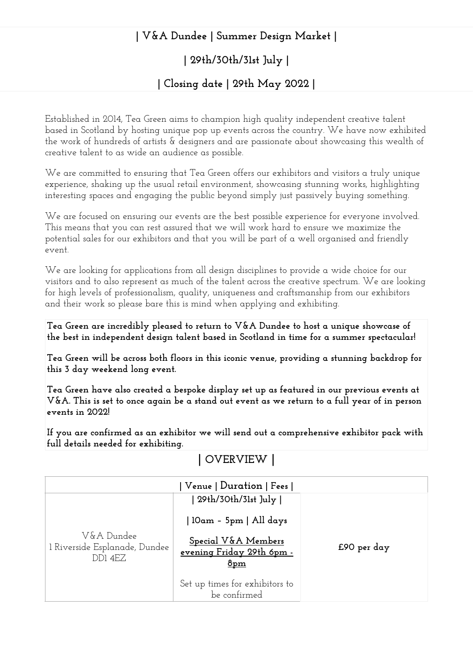## **| V&A Dundee | Summer Design Market |**

# **| 29th/30th/31st July |**

### **| Closing date | 29th May 2022 |**

Established in 2014, Tea Green aims to champion high quality independent creative talent based in Scotland by hosting unique pop up events across the country. We have now exhibited the work of hundreds of artists & designers and are passionate about showcasing this wealth of creative talent to as wide an audience as possible.

We are committed to ensuring that Tea Green offers our exhibitors and visitors a truly unique experience, shaking up the usual retail environment, showcasing stunning works, highlighting interesting spaces and engaging the public beyond simply just passively buying something.

We are focused on ensuring our events are the best possible experience for everyone involved. This means that you can rest assured that we will work hard to ensure we maximize the potential sales for our exhibitors and that you will be part of a well organised and friendly event.

We are looking for applications from all design disciplines to provide a wide choice for our visitors and to also represent as much of the talent across the creative spectrum. We are looking for high levels of professionalism, quality, uniqueness and craftsmanship from our exhibitors and their work so please bare this is mind when applying and exhibiting.

**Tea Green are incredibly pleased to return to V&A Dundee to host a unique showcase of the best in independent design talent based in Scotland in time for a summer spectacular!**

**Tea Green will be across both floors in this iconic venue, providing a stunning backdrop for this 3 day weekend long event.** 

**Tea Green have also created a bespoke display set up as featured in our previous events at V&A. This is set to once again be a stand out event as we return to a full year of in person events in 2022!** 

**If you are confirmed as an exhibitor we will send out a comprehensive exhibitor pack with full details needed for exhibiting.**

# **| OVERVIEW |**

| Venue   Duration   Fees                                |                                                                     |             |
|--------------------------------------------------------|---------------------------------------------------------------------|-------------|
|                                                        | 29th/30th/31st July                                                 |             |
|                                                        | 10am - 5pm   All days                                               |             |
| V&A Dundee<br>l Riverside Esplanade, Dundee<br>DD1 4EZ | Special V&A Members<br>evening Friday 29th 6pm -<br>8 <sub>pm</sub> | £90 per day |
|                                                        | Set up times for exhibitors to<br>he confirmed                      |             |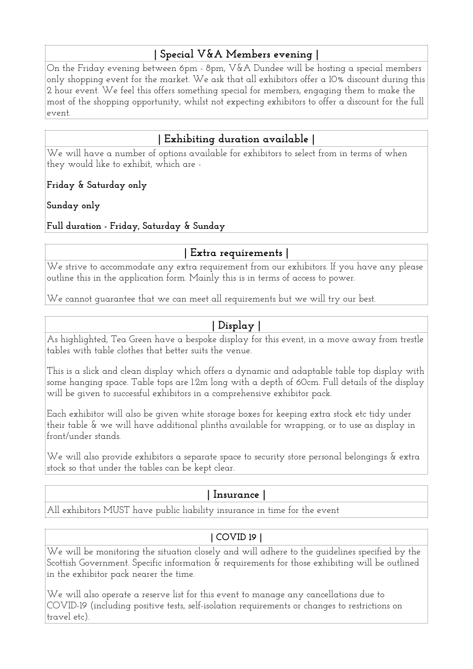## **| Special V&A Members evening |**

On the Friday evening between 6pm - 8pm, V&A Dundee will be hosting a special members only shopping event for the market. We ask that all exhibitors offer a 10% discount during this 2 hour event. We feel this offers something special for members, engaging them to make the most of the shopping opportunity, whilst not expecting exhibitors to offer a discount for the full event.

## **| Exhibiting duration available |**

We will have a number of options available for exhibitors to select from in terms of when they would like to exhibit, which are -

#### **Friday & Saturday only**

**Sunday only** 

#### **Full duration - Friday, Saturday & Sunday**

## **| Extra requirements |**

We strive to accommodate any extra requirement from our exhibitors. If you have any please outline this in the application form. Mainly this is in terms of access to power.

We cannot guarantee that we can meet all requirements but we will try our best.

## **| Display |**

As highlighted, Tea Green have a bespoke display for this event, in a move away from trestle tables with table clothes that better suits the venue.

This is a slick and clean display which offers a dynamic and adaptable table top display with some hanging space. Table tops are 1.2m long with a depth of 60cm. Full details of the display will be given to successful exhibitors in a comprehensive exhibitor pack.

Each exhibitor will also be given white storage boxes for keeping extra stock etc tidy under their table & we will have additional plinths available for wrapping, or to use as display in front/under stands.

We will also provide exhibitors a separate space to security store personal belongings & extra stock so that under the tables can be kept clear.

## **| Insurance |**

All exhibitors MUST have public liability insurance in time for the event

## **| COVID 19 |**

We will be monitoring the situation closely and will adhere to the guidelines specified by the Scottish Government. Specific information & requirements for those exhibiting will be outlined in the exhibitor pack nearer the time.

We will also operate a reserve list for this event to manage any cancellations due to COVID-19 (including positive tests, self-isolation requirements or changes to restrictions on travel etc).